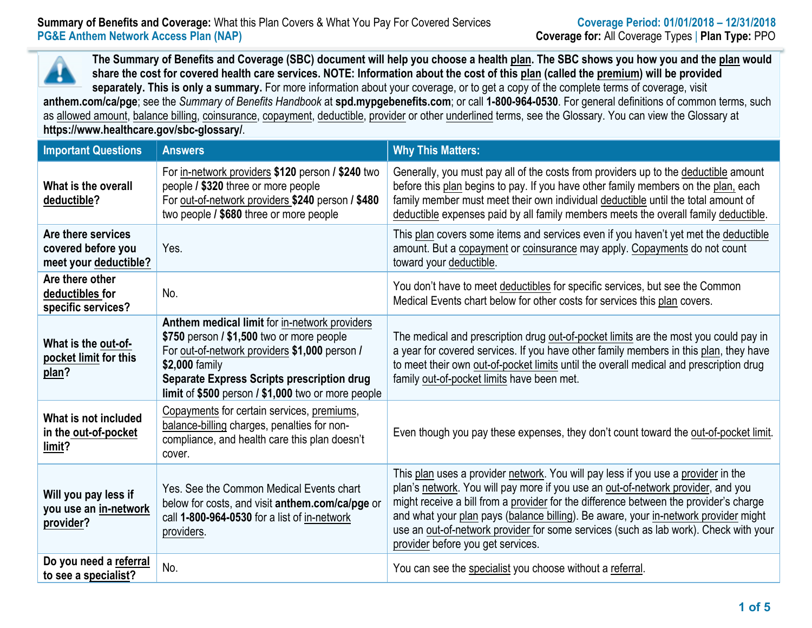**The Summary of Benefits and Coverage (SBC) document will help you choose a health plan. The SBC shows you how you and the plan would share the cost for covered health care services. NOTE: Information about the cost of this plan (called the premium) will be provided separately. This is only a summary.** For more information about your coverage, or to get a copy of the complete terms of coverage, visit **anthem.com/ca/pge**; see the *Summary of Benefits Handbook* at **spd.mypgebenefits.com**; or call **1-800-964-0530**. For general definitions of common terms, such as allowed amount, balance billing, coinsurance, copayment, deductible, provider or other underlined terms, see the Glossary. You can view the Glossary at **https://www.healthcare.gov/sbc-glossary/**.

| <b>Important Questions</b>                                                                                                                                                                                                                                                                                                 | <b>Answers</b>                                                                                                                                                                           | <b>Why This Matters:</b>                                                                                                                                                                                                                                                                                                                                                                                                                                                           |
|----------------------------------------------------------------------------------------------------------------------------------------------------------------------------------------------------------------------------------------------------------------------------------------------------------------------------|------------------------------------------------------------------------------------------------------------------------------------------------------------------------------------------|------------------------------------------------------------------------------------------------------------------------------------------------------------------------------------------------------------------------------------------------------------------------------------------------------------------------------------------------------------------------------------------------------------------------------------------------------------------------------------|
| What is the overall<br>deductible?                                                                                                                                                                                                                                                                                         | For in-network providers \$120 person / \$240 two<br>people / \$320 three or more people<br>For out-of-network providers \$240 person / \$480<br>two people / \$680 three or more people | Generally, you must pay all of the costs from providers up to the deductible amount<br>before this plan begins to pay. If you have other family members on the plan, each<br>family member must meet their own individual deductible until the total amount of<br>deductible expenses paid by all family members meets the overall family deductible.                                                                                                                              |
| Are there services<br>covered before you<br>meet your deductible?                                                                                                                                                                                                                                                          | Yes.                                                                                                                                                                                     | This plan covers some items and services even if you haven't yet met the deductible<br>amount. But a copayment or coinsurance may apply. Copayments do not count<br>toward your deductible.                                                                                                                                                                                                                                                                                        |
| Are there other<br>deductibles for<br>specific services?                                                                                                                                                                                                                                                                   | No.                                                                                                                                                                                      | You don't have to meet deductibles for specific services, but see the Common<br>Medical Events chart below for other costs for services this plan covers.                                                                                                                                                                                                                                                                                                                          |
| Anthem medical limit for in-network providers<br>\$750 person / \$1,500 two or more people<br>What is the out-of-<br>For out-of-network providers \$1,000 person /<br>pocket limit for this<br>\$2,000 family<br>plan?<br>Separate Express Scripts prescription drug<br>limit of \$500 person / \$1,000 two or more people |                                                                                                                                                                                          | The medical and prescription drug out-of-pocket limits are the most you could pay in<br>a year for covered services. If you have other family members in this plan, they have<br>to meet their own out-of-pocket limits until the overall medical and prescription drug<br>family out-of-pocket limits have been met.                                                                                                                                                              |
| What is not included<br>in the out-of-pocket<br>limit?                                                                                                                                                                                                                                                                     | Copayments for certain services, premiums,<br>balance-billing charges, penalties for non-<br>compliance, and health care this plan doesn't<br>cover.                                     | Even though you pay these expenses, they don't count toward the out-of-pocket limit.                                                                                                                                                                                                                                                                                                                                                                                               |
| Will you pay less if<br>you use an in-network<br>provider?                                                                                                                                                                                                                                                                 | Yes. See the Common Medical Events chart<br>below for costs, and visit anthem.com/ca/pge or<br>call 1-800-964-0530 for a list of in-network<br>providers.                                | This plan uses a provider network. You will pay less if you use a provider in the<br>plan's network. You will pay more if you use an out-of-network provider, and you<br>might receive a bill from a provider for the difference between the provider's charge<br>and what your plan pays (balance billing). Be aware, your in-network provider might<br>use an out-of-network provider for some services (such as lab work). Check with your<br>provider before you get services. |
| Do you need a referral<br>to see a specialist?                                                                                                                                                                                                                                                                             | No.                                                                                                                                                                                      | You can see the specialist you choose without a referral.                                                                                                                                                                                                                                                                                                                                                                                                                          |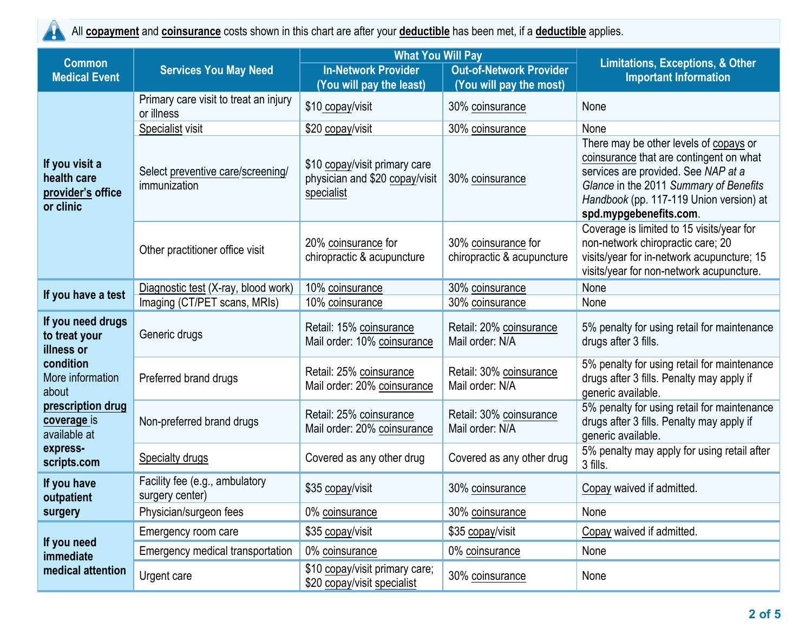

All **copayment** and **coinsurance** costs shown in this chart are after your **deductible** has been met, if a **deductible** applies.

|                                                                 | <b>What You Will Pay</b><br><b>Common</b>           |                                                                               | <b>Limitations, Exceptions, &amp; Other</b>       |                                                                                                                                                                                                                                         |
|-----------------------------------------------------------------|-----------------------------------------------------|-------------------------------------------------------------------------------|---------------------------------------------------|-----------------------------------------------------------------------------------------------------------------------------------------------------------------------------------------------------------------------------------------|
| <b>Medical Event</b>                                            | <b>Services You May Need</b>                        | <b>In-Network Provider</b>                                                    | <b>Out-of-Network Provider</b>                    | <b>Important Information</b>                                                                                                                                                                                                            |
|                                                                 |                                                     | (You will pay the least)                                                      | (You will pay the most)                           |                                                                                                                                                                                                                                         |
|                                                                 | Primary care visit to treat an injury<br>or illness | \$10 copay/visit                                                              | 30% coinsurance                                   | None                                                                                                                                                                                                                                    |
|                                                                 | Specialist visit                                    | \$20 copay/visit                                                              | 30% coinsurance                                   | None                                                                                                                                                                                                                                    |
| If you visit a<br>health care<br>provider's office<br>or clinic | Select preventive care/screening/<br>immunization   | \$10 copay/visit primary care<br>physician and \$20 copay/visit<br>specialist | 30% coinsurance                                   | There may be other levels of copays or<br>coinsurance that are contingent on what<br>services are provided. See NAP at a<br>Glance in the 2011 Summary of Benefits<br>Handbook (pp. 117-119 Union version) at<br>spd.mypgebenefits.com. |
|                                                                 | Other practitioner office visit                     | 20% coinsurance for<br>chiropractic & acupuncture                             | 30% coinsurance for<br>chiropractic & acupuncture | Coverage is limited to 15 visits/year for<br>non-network chiropractic care; 20<br>visits/year for in-network acupuncture; 15<br>visits/year for non-network acupuncture.                                                                |
|                                                                 | Diagnostic test (X-ray, blood work)                 | 10% coinsurance                                                               | 30% coinsurance                                   | None                                                                                                                                                                                                                                    |
| If you have a test                                              | Imaging (CT/PET scans, MRIs)                        | 10% coinsurance                                                               | 30% coinsurance                                   | None                                                                                                                                                                                                                                    |
| If you need drugs<br>to treat your<br>illness or                | Generic drugs                                       | Retail: 15% coinsurance<br>Mail order: 10% coinsurance                        | Retail: 20% coinsurance<br>Mail order: N/A        | 5% penalty for using retail for maintenance<br>drugs after 3 fills.                                                                                                                                                                     |
| condition<br>More information<br>about                          | Preferred brand drugs                               | Retail: 25% coinsurance<br>Mail order: 20% coinsurance                        | Retail: 30% coinsurance<br>Mail order: N/A        | 5% penalty for using retail for maintenance<br>drugs after 3 fills. Penalty may apply if<br>generic available.                                                                                                                          |
| prescription drug<br>coverage is<br>available at                | Non-preferred brand drugs                           | Retail: 25% coinsurance<br>Mail order: 20% coinsurance                        | Retail: 30% coinsurance<br>Mail order: N/A        | 5% penalty for using retail for maintenance<br>drugs after 3 fills. Penalty may apply if<br>generic available.                                                                                                                          |
| express-<br>scripts.com                                         | Specialty drugs                                     | Covered as any other drug                                                     | Covered as any other drug                         | 5% penalty may apply for using retail after<br>3 fills.                                                                                                                                                                                 |
| If you have<br>outpatient                                       | Facility fee (e.g., ambulatory<br>surgery center)   | \$35 copay/visit                                                              | 30% coinsurance                                   | Copay waived if admitted.                                                                                                                                                                                                               |
| surgery                                                         | Physician/surgeon fees                              | 0% coinsurance                                                                | 30% coinsurance                                   | None                                                                                                                                                                                                                                    |
|                                                                 | Emergency room care                                 | \$35 copay/visit                                                              | \$35 copay/visit                                  | Copay waived if admitted.                                                                                                                                                                                                               |
| If you need<br>immediate                                        | Emergency medical transportation                    | 0% coinsurance                                                                | 0% coinsurance                                    | None                                                                                                                                                                                                                                    |
| medical attention                                               | Urgent care                                         | \$10 copay/visit primary care;<br>\$20 copay/visit specialist                 | 30% coinsurance                                   | None                                                                                                                                                                                                                                    |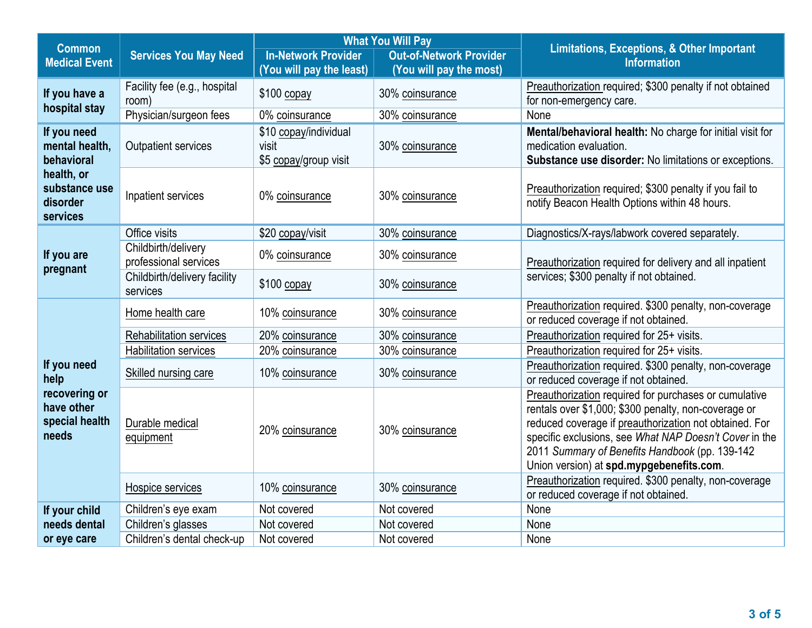| <b>Common</b>                                          |                                              | <b>What You Will Pay</b>                                |                                                           | <b>Limitations, Exceptions, &amp; Other Important</b>                                                                                                                                                                                                                                                                           |  |
|--------------------------------------------------------|----------------------------------------------|---------------------------------------------------------|-----------------------------------------------------------|---------------------------------------------------------------------------------------------------------------------------------------------------------------------------------------------------------------------------------------------------------------------------------------------------------------------------------|--|
| <b>Medical Event</b>                                   | <b>Services You May Need</b>                 | <b>In-Network Provider</b><br>(You will pay the least)  | <b>Out-of-Network Provider</b><br>(You will pay the most) | <b>Information</b>                                                                                                                                                                                                                                                                                                              |  |
| If you have a                                          | Facility fee (e.g., hospital<br>room)        | $$100$ copay                                            | 30% coinsurance                                           | Preauthorization required; \$300 penalty if not obtained<br>for non-emergency care.                                                                                                                                                                                                                                             |  |
| hospital stay                                          | Physician/surgeon fees                       | 0% coinsurance                                          | 30% coinsurance                                           | None                                                                                                                                                                                                                                                                                                                            |  |
| If you need<br>mental health,<br>behavioral            | <b>Outpatient services</b>                   | \$10 copay/individual<br>visit<br>\$5 copay/group visit | 30% coinsurance                                           | Mental/behavioral health: No charge for initial visit for<br>medication evaluation.<br>Substance use disorder: No limitations or exceptions.                                                                                                                                                                                    |  |
| health, or<br>substance use<br>disorder<br>services    | Inpatient services                           | 0% coinsurance                                          | 30% coinsurance                                           | Preauthorization required; \$300 penalty if you fail to<br>notify Beacon Health Options within 48 hours.                                                                                                                                                                                                                        |  |
|                                                        | Office visits                                | \$20 copay/visit                                        | 30% coinsurance                                           | Diagnostics/X-rays/labwork covered separately.                                                                                                                                                                                                                                                                                  |  |
| If you are                                             | Childbirth/delivery<br>professional services | 0% coinsurance                                          | 30% coinsurance                                           | Preauthorization required for delivery and all inpatient                                                                                                                                                                                                                                                                        |  |
| pregnant                                               | Childbirth/delivery facility<br>services     | $$100$ copay                                            | 30% coinsurance                                           | services; \$300 penalty if not obtained.                                                                                                                                                                                                                                                                                        |  |
|                                                        | Home health care                             | 10% coinsurance                                         | 30% coinsurance                                           | Preauthorization required. \$300 penalty, non-coverage<br>or reduced coverage if not obtained.                                                                                                                                                                                                                                  |  |
|                                                        | <b>Rehabilitation services</b>               | 20% coinsurance                                         | 30% coinsurance                                           | Preauthorization required for 25+ visits.                                                                                                                                                                                                                                                                                       |  |
|                                                        | <b>Habilitation services</b>                 | 20% coinsurance                                         | 30% coinsurance                                           | Preauthorization required for 25+ visits.                                                                                                                                                                                                                                                                                       |  |
| If you need<br>help                                    | Skilled nursing care                         | 10% coinsurance                                         | 30% coinsurance                                           | Preauthorization required. \$300 penalty, non-coverage<br>or reduced coverage if not obtained.                                                                                                                                                                                                                                  |  |
| recovering or<br>have other<br>special health<br>needs | Durable medical<br>equipment                 | 20% coinsurance                                         | 30% coinsurance                                           | Preauthorization required for purchases or cumulative<br>rentals over \$1,000; \$300 penalty, non-coverage or<br>reduced coverage if preauthorization not obtained. For<br>specific exclusions, see What NAP Doesn't Cover in the<br>2011 Summary of Benefits Handbook (pp. 139-142<br>Union version) at spd.mypgebenefits.com. |  |
|                                                        | Hospice services                             | 10% coinsurance                                         | 30% coinsurance                                           | Preauthorization required. \$300 penalty, non-coverage<br>or reduced coverage if not obtained.                                                                                                                                                                                                                                  |  |
| If your child                                          | Children's eye exam                          | Not covered                                             | Not covered                                               | None                                                                                                                                                                                                                                                                                                                            |  |
| needs dental                                           | Children's glasses                           | Not covered                                             | Not covered                                               | None                                                                                                                                                                                                                                                                                                                            |  |
| or eye care                                            | Children's dental check-up                   | Not covered                                             | Not covered                                               | None                                                                                                                                                                                                                                                                                                                            |  |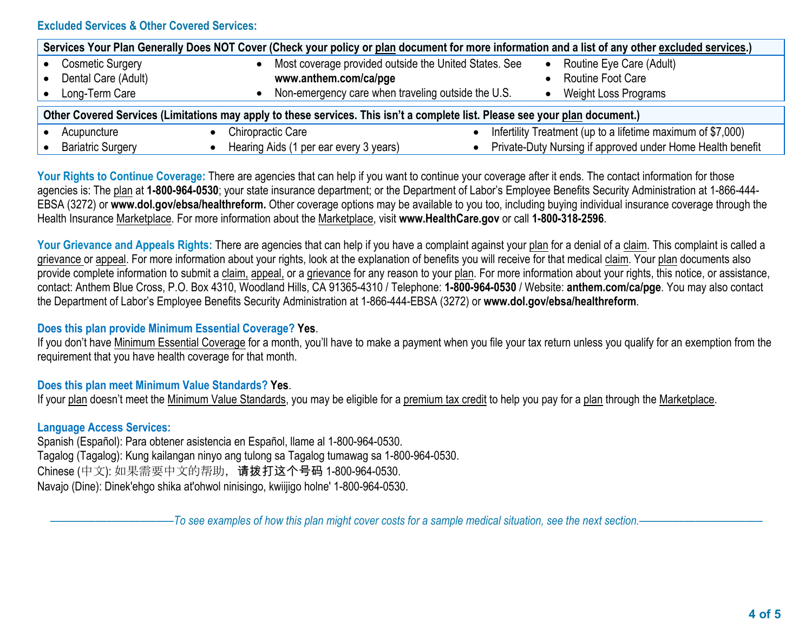### **Excluded Services & Other Covered Services:**

| Services Your Plan Generally Does NOT Cover (Check your policy or plan document for more information and a list of any other excluded services.) |                                                       |                                                             |  |  |
|--------------------------------------------------------------------------------------------------------------------------------------------------|-------------------------------------------------------|-------------------------------------------------------------|--|--|
| <b>Cosmetic Surgery</b>                                                                                                                          | Most coverage provided outside the United States. See | Routine Eye Care (Adult)                                    |  |  |
| Dental Care (Adult)                                                                                                                              | www.anthem.com/ca/pge                                 | Routine Foot Care                                           |  |  |
| Long-Term Care                                                                                                                                   | Non-emergency care when traveling outside the U.S.    | <b>Weight Loss Programs</b>                                 |  |  |
| Other Covered Services (Limitations may apply to these services. This isn't a complete list. Please see your plan document.)                     |                                                       |                                                             |  |  |
| Acupuncture                                                                                                                                      | Chiropractic Care                                     | Infertility Treatment (up to a lifetime maximum of \$7,000) |  |  |
| <b>Bariatric Surgery</b>                                                                                                                         | Hearing Aids (1 per ear every 3 years)                | Private-Duty Nursing if approved under Home Health benefit  |  |  |

Your Rights to Continue Coverage: There are agencies that can help if you want to continue your coverage after it ends. The contact information for those agencies is: The plan at **1-800-964-0530**; your state insurance department; or the Department of Labor's Employee Benefits Security Administration at 1-866-444- EBSA (3272) or **www.dol.gov/ebsa/healthreform.** Other coverage options may be available to you too, including buying individual insurance coverage through the Health Insurance Marketplace. For more information about the Marketplace, visit **www.HealthCare.gov** or call **1-800-318-2596**.

Your Grievance and Appeals Rights: There are agencies that can help if you have a complaint against your plan for a denial of a claim. This complaint is called a grievance or appeal. For more information about your rights, look at the explanation of benefits you will receive for that medical claim. Your plan documents also provide complete information to submit a claim, appeal, or a grievance for any reason to your plan. For more information about your rights, this notice, or assistance, contact: Anthem Blue Cross, P.O. Box 4310, Woodland Hills, CA 91365-4310 / Telephone: **1-800-964-0530** / Website: **anthem.com/ca/pge**. You may also contact the Department of Labor's Employee Benefits Security Administration at 1-866-444-EBSA (3272) or **www.dol.gov/ebsa/healthreform**.

### **Does this plan provide Minimum Essential Coverage? Yes**.

If you don't have Minimum Essential Coverage for a month, you'll have to make a payment when you file your tax return unless you qualify for an exemption from the requirement that you have health coverage for that month.

### **Does this plan meet Minimum Value Standards? Yes**.

If your plan doesn't meet the Minimum Value Standards, you may be eligible for a premium tax credit to help you pay for a plan through the Marketplace.

### **Language Access Services:**

Spanish (Español): Para obtener asistencia en Español, llame al 1-800-964-0530. Tagalog (Tagalog): Kung kailangan ninyo ang tulong sa Tagalog tumawag sa 1-800-964-0530. Chinese (中文): 如果需要中文的帮助,请拨打这个号码 1-800-964-0530. Navajo (Dine): Dinek'ehgo shika at'ohwol ninisingo, kwiijigo holne' 1-800-964-0530.

–To see examples of how this plan might cover costs for a sample medical situation, see the next section.–